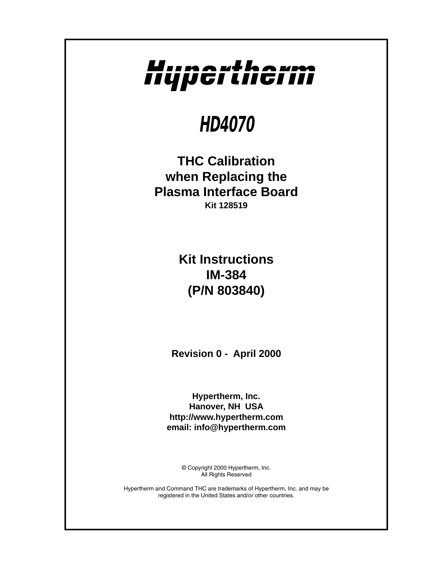# Hupertherm

## **HD4070**

**THC Calibration when Replacing the Plasma Interface Board Kit 128519**

> **Kit Instructions IM-384 (P/N 803840)**

**Revision 0 - April 2000**

**Hypertherm, Inc. Hanover, NH USA http://www.hypertherm.com email: info@hypertherm.com**

> © Copyright 2000 Hypertherm, Inc. All Rights Reserved

Hypertherm and Command THC are trademarks of Hypertherm, Inc. and may be registered in the United States and/or other countries.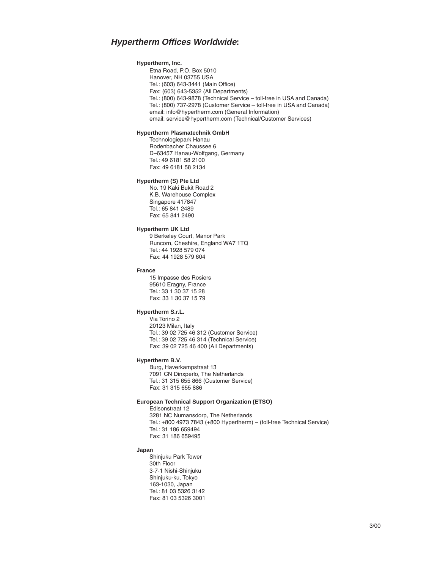#### **Hypertherm Offices Worldwide:**

#### **Hypertherm, Inc.**

Etna Road, P.O. Box 5010 Hanover, NH 03755 USA Tel.: (603) 643-3441 (Main Office) Fax: (603) 643-5352 (All Departments) Tel.: (800) 643-9878 (Technical Service – toll-free in USA and Canada) Tel.: (800) 737-2978 (Customer Service – toll-free in USA and Canada) email: info@hypertherm.com (General Information) email: service@hypertherm.com (Technical/Customer Services)

#### **Hypertherm Plasmatechnik GmbH**

Technologiepark Hanau Rodenbacher Chaussee 6 D–63457 Hanau-Wolfgang, Germany Tel.: 49 6181 58 2100 Fax: 49 6181 58 2134

#### **Hypertherm (S) Pte Ltd**

No. 19 Kaki Bukit Road 2 K.B. Warehouse Complex Singapore 417847 Tel.: 65 841 2489 Fax: 65 841 2490

#### **Hypertherm UK Ltd**

9 Berkeley Court, Manor Park Runcorn, Cheshire, England WA7 1TQ Tel.: 44 1928 579 074 Fax: 44 1928 579 604

#### **France**

15 Impasse des Rosiers 95610 Eragny, France Tel.: 33 1 30 37 15 28 Fax: 33 1 30 37 15 79

#### **Hypertherm S.r.L.**

Via Torino 2 20123 Milan, Italy Tel.: 39 02 725 46 312 (Customer Service) Tel.: 39 02 725 46 314 (Technical Service) Fax: 39 02 725 46 400 (All Departments)

#### **Hypertherm B.V.**

Burg, Haverkampstraat 13 7091 CN Dinxperlo, The Netherlands Tel.: 31 315 655 866 (Customer Service) Fax: 31 315 655 886

#### **European Technical Support Organization (ETSO)**

Edisonstraat 12 3281 NC Numansdorp, The Netherlands Tel.: +800 4973 7843 (+800 Hypertherm) – (toll-free Technical Service) Tel.: 31 186 659494 Fax: 31 186 659495

#### **Japan**

Shinjuku Park Tower 30th Floor 3-7-1 Nishi-Shinjuku Shinjuku-ku, Tokyo 163-1030, Japan Tel.: 81 03 5326 3142 Fax: 81 03 5326 3001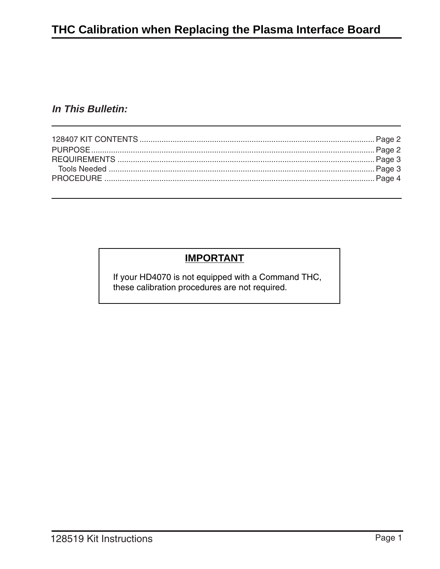## **In This Bulletin:**

## **IMPORTANT**

If your HD4070 is not equipped with a Command THC, these calibration procedures are not required.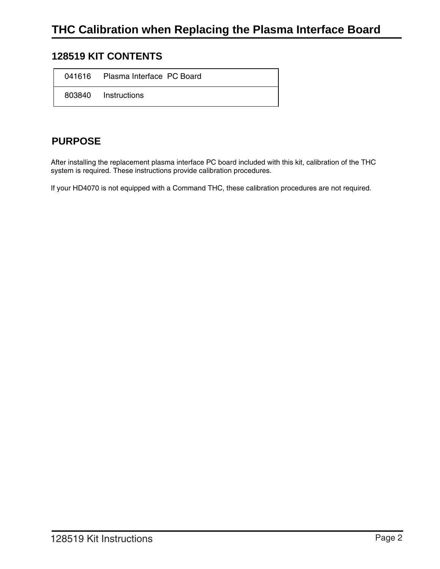## <span id="page-3-0"></span>**128519 KIT CONTENTS**

| 041616 Plasma Interface PC Board |
|----------------------------------|
| 803840 Instructions              |

## **PURPOSE**

After installing the replacement plasma interface PC board included with this kit, calibration of the THC system is required. These instructions provide calibration procedures.

If your HD4070 is not equipped with a Command THC, these calibration procedures are not required.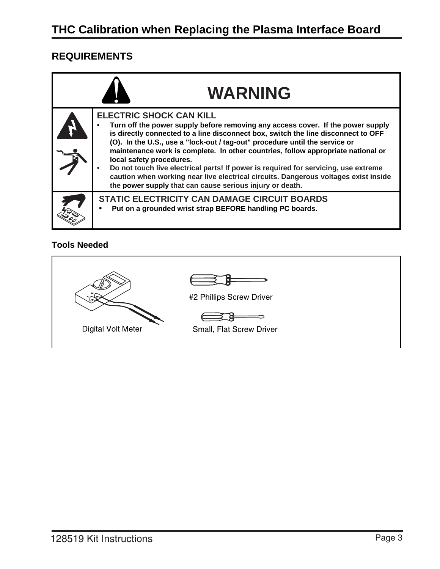## <span id="page-4-0"></span>**REQUIREMENTS**

| <b>WARNING</b>                                                                                                                                                                                                                                                                                                                                                                                                                                                                                                                                                                                                                                  |
|-------------------------------------------------------------------------------------------------------------------------------------------------------------------------------------------------------------------------------------------------------------------------------------------------------------------------------------------------------------------------------------------------------------------------------------------------------------------------------------------------------------------------------------------------------------------------------------------------------------------------------------------------|
| <b>ELECTRIC SHOCK CAN KILL</b><br>Turn off the power supply before removing any access cover. If the power supply<br>is directly connected to a line disconnect box, switch the line disconnect to OFF<br>(O). In the U.S., use a "lock-out / tag-out" procedure until the service or<br>maintenance work is complete. In other countries, follow appropriate national or<br>local safety procedures.<br>Do not touch live electrical parts! If power is required for servicing, use extreme<br>caution when working near live electrical circuits. Dangerous voltages exist inside<br>the power supply that can cause serious injury or death. |
| <b>STATIC ELECTRICITY CAN DAMAGE CIRCUIT BOARDS</b><br>Put on a grounded wrist strap BEFORE handling PC boards.                                                                                                                                                                                                                                                                                                                                                                                                                                                                                                                                 |

### **Tools Needed**

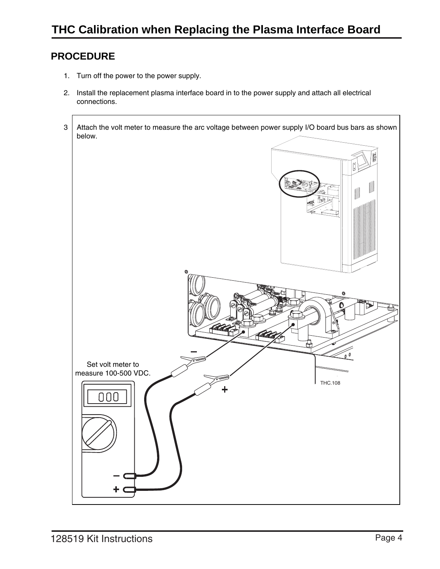## <span id="page-5-0"></span>**PROCEDURE**

- 1. Turn off the power to the power supply.
- 2. Install the replacement plasma interface board in to the power supply and attach all electrical connections.